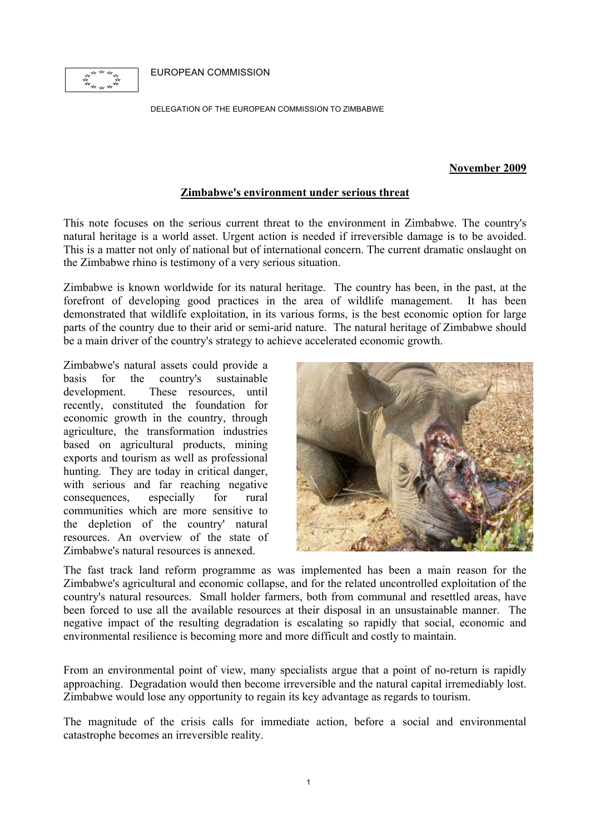

EUROPEAN COMMISSION

DELEGATION OF THE EUROPEAN COMMISSION TO ZIMBABWE

## **November 2009**

## **Zimbabwe's environment under serious threat**

This note focuses on the serious current threat to the environment in Zimbabwe. The country's natural heritage is a world asset. Urgent action is needed if irreversible damage is to be avoided. This is a matter not only of national but of international concern. The current dramatic onslaught on the Zimbabwe rhino is testimony of a very serious situation.

Zimbabwe is known worldwide for its natural heritage. The country has been, in the past, at the forefront of developing good practices in the area of wildlife management. It has been demonstrated that wildlife exploitation, in its various forms, is the best economic option for large parts of the country due to their arid or semi-arid nature. The natural heritage of Zimbabwe should be a main driver of the country's strategy to achieve accelerated economic growth.

Zimbabwe's natural assets could provide a basis for the country's sustainable development. These resources, until recently, constituted the foundation for economic growth in the country, through agriculture, the transformation industries based on agricultural products, mining exports and tourism as well as professional hunting. They are today in critical danger, with serious and far reaching negative consequences, especially for rural communities which are more sensitive to the depletion of the country' natural resources. An overview of the state of Zimbabwe's natural resources is annexed.



The fast track land reform programme as was implemented has been a main reason for the Zimbabwe's agricultural and economic collapse, and for the related uncontrolled exploitation of the country's natural resources. Small holder farmers, both from communal and resettled areas, have been forced to use all the available resources at their disposal in an unsustainable manner. The negative impact of the resulting degradation is escalating so rapidly that social, economic and environmental resilience is becoming more and more difficult and costly to maintain.

From an environmental point of view, many specialists argue that a point of no-return is rapidly approaching. Degradation would then become irreversible and the natural capital irremediably lost. Zimbabwe would lose any opportunity to regain its key advantage as regards to tourism.

The magnitude of the crisis calls for immediate action, before a social and environmental catastrophe becomes an irreversible reality.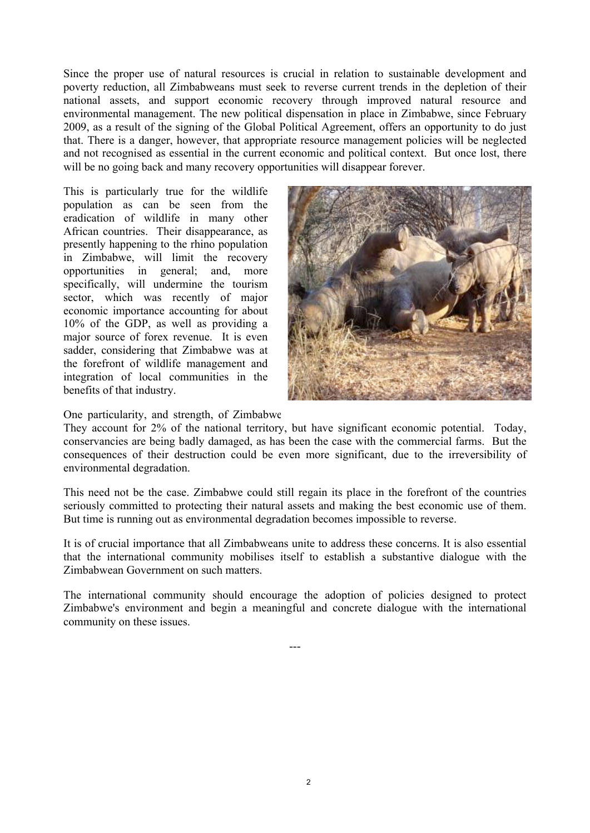Since the proper use of natural resources is crucial in relation to sustainable development and poverty reduction, all Zimbabweans must seek to reverse current trends in the depletion of their national assets, and support economic recovery through improved natural resource and environmental management. The new political dispensation in place in Zimbabwe, since February 2009, as a result of the signing of the Global Political Agreement, offers an opportunity to do just that. There is a danger, however, that appropriate resource management policies will be neglected and not recognised as essential in the current economic and political context. But once lost, there will be no going back and many recovery opportunities will disappear forever.

This is particularly true for the wildlife population as can be seen from the eradication of wildlife in many other African countries. Their disappearance, as presently happening to the rhino population in Zimbabwe, will limit the recovery opportunities in general; and, more specifically, will undermine the tourism sector, which was recently of major economic importance accounting for about 10% of the GDP, as well as providing a major source of forex revenue. It is even sadder, considering that Zimbabwe was at the forefront of wildlife management and integration of local communities in the benefits of that industry.



One particularity, and strength, of Zimbabwe

They account for 2% of the national territory, but have significant economic potential. Today, conservancies are being badly damaged, as has been the case with the commercial farms. But the consequences of their destruction could be even more significant, due to the irreversibility of environmental degradation.

This need not be the case. Zimbabwe could still regain its place in the forefront of the countries seriously committed to protecting their natural assets and making the best economic use of them. But time is running out as environmental degradation becomes impossible to reverse.

It is of crucial importance that all Zimbabweans unite to address these concerns. It is also essential that the international community mobilises itself to establish a substantive dialogue with the Zimbabwean Government on such matters.

The international community should encourage the adoption of policies designed to protect Zimbabwe's environment and begin a meaningful and concrete dialogue with the international community on these issues.

---